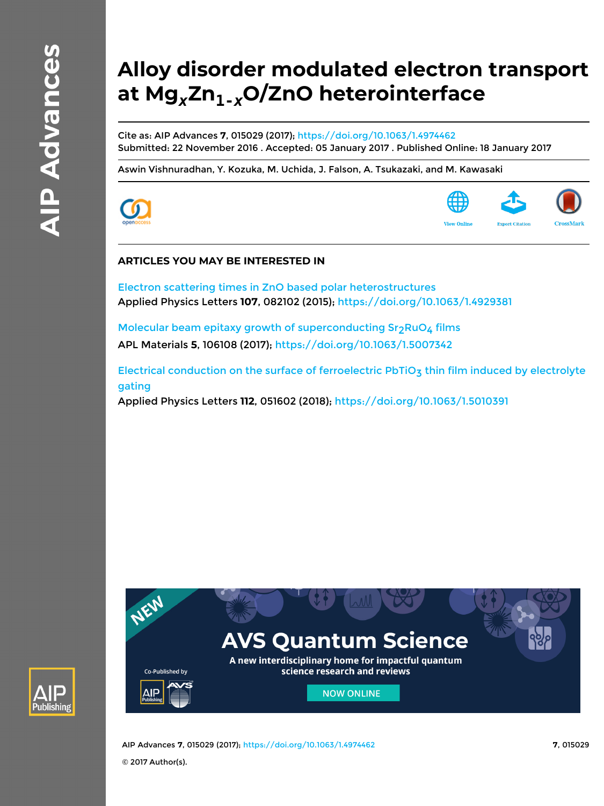# **Alloy disorder modulated electron transport at Mg***x***Zn1-***x***O/ZnO heterointerface**

Cite as: AIP Advances **7**, 015029 (2017); <https://doi.org/10.1063/1.4974462> Submitted: 22 November 2016 . Accepted: 05 January 2017 . Published Online: 18 January 2017

[Aswin Vishnuradhan,](https://aip.scitation.org/author/Vishnuradhan%2C+Aswin) [Y. Kozuka,](https://aip.scitation.org/author/Kozuka%2C+Y) [M. Uchida](https://aip.scitation.org/author/Uchida%2C+M), [J. Falson,](https://aip.scitation.org/author/Falson%2C+J) [A. Tsukazaki](https://aip.scitation.org/author/Tsukazaki%2C+A), and [M. Kawasaki](https://aip.scitation.org/author/Kawasaki%2C+M)





# **ARTICLES YOU MAY BE INTERESTED IN**

[Electron scattering times in ZnO based polar heterostructures](https://aip.scitation.org/doi/10.1063/1.4929381) Applied Physics Letters **107**, 082102 (2015);<https://doi.org/10.1063/1.4929381>

Molecular beam epitaxy growth of superconducting  $Sr<sub>2</sub>RuO<sub>4</sub>$  films APL Materials **5**, 106108 (2017); <https://doi.org/10.1063/1.5007342>

Electrical conduction on the surface of ferroelectric PbTiO<sub>3</sub> thin film induced by electrolyte [gating](https://aip.scitation.org/doi/10.1063/1.5010391) Applied Physics Letters **112**, 051602 (2018);<https://doi.org/10.1063/1.5010391>





AIP Advances **7**, 015029 (2017); <https://doi.org/10.1063/1.4974462> **7**, 015029 © 2017 Author(s).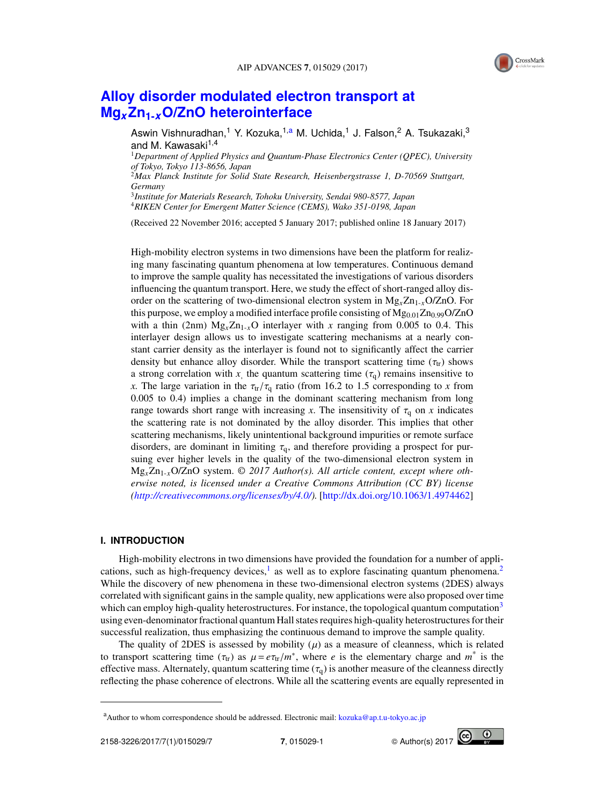

# **[Alloy disorder modulated electron transport at](http://dx.doi.org/10.1063/1.4974462) Mg***x***Zn1-***x***[O/ZnO heterointerface](http://dx.doi.org/10.1063/1.4974462)**

Aswin Vishnuradhan,<sup>1</sup> Y. Kozuka,<sup>1[,a](#page-1-0)</sup> M. Uchida,<sup>1</sup> J. Falson,<sup>2</sup> A. Tsukazaki,<sup>3</sup> and M. Kawasaki<sup>1,4</sup>

<sup>1</sup>*Department of Applied Physics and Quantum-Phase Electronics Center (QPEC), University of Tokyo, Tokyo 113-8656, Japan*

<sup>2</sup>*Max Planck Institute for Solid State Research, Heisenbergstrasse 1, D-70569 Stuttgart, Germany*

3 *Institute for Materials Research, Tohoku University, Sendai 980-8577, Japan* <sup>4</sup>*RIKEN Center for Emergent Matter Science (CEMS), Wako 351-0198, Japan*

(Received 22 November 2016; accepted 5 January 2017; published online 18 January 2017)

High-mobility electron systems in two dimensions have been the platform for realizing many fascinating quantum phenomena at low temperatures. Continuous demand to improve the sample quality has necessitated the investigations of various disorders influencing the quantum transport. Here, we study the effect of short-ranged alloy disorder on the scattering of two-dimensional electron system in Mg*x*Zn1-*x*O/ZnO. For this purpose, we employ a modified interface profile consisting of  $Mg_{0.01}Zn_{0.99}O/ZnO$ with a thin (2nm)  $Mg_x Zn_{1-x}O$  interlayer with x ranging from 0.005 to 0.4. This interlayer design allows us to investigate scattering mechanisms at a nearly constant carrier density as the interlayer is found not to significantly affect the carrier density but enhance alloy disorder. While the transport scattering time ( $\tau_{tr}$ ) shows a strong correlation with *x*, the quantum scattering time ( $\tau_q$ ) remains insensitive to <br>*x*. The large variation in the  $\tau$  / $\tau$  ratio (from 16.2 to 1.5 corresponding to *x* from *x*. The large variation in the  $\tau_{tr}/\tau_q$  ratio (from 16.2 to 1.5 corresponding to *x* from 0.005 to 0.4) implies a change in the dominant scattering mechanism from long range towards short range with increasing x. The insensitivity of  $\tau_q$  on x indicates the scattering rate is not dominated by the alloy disorder. This implies that other scattering mechanisms, likely unintentional background impurities or remote surface disorders, are dominant in limiting  $\tau_q$ , and therefore providing a prospect for pursuing ever higher levels in the quality of the two-dimensional electron system in Mg*x*Zn1-*x*O/ZnO system. © *2017 Author(s). All article content, except where otherwise noted, is licensed under a Creative Commons Attribution (CC BY) license [\(http://creativecommons.org/licenses/by/4.0/\)](http://creativecommons.org/licenses/by/4.0/).* [\[http://dx.doi.org/10.1063/1.4974462\]](http://dx.doi.org/10.1063/1.4974462)

### **I. INTRODUCTION**

High-mobility electrons in two dimensions have provided the foundation for a number of applications, such as high-frequency devices, $<sup>1</sup>$  $<sup>1</sup>$  $<sup>1</sup>$  as well as to explore fascinating quantum phenomena.<sup>[2](#page-7-1)</sup></sup> While the discovery of new phenomena in these two-dimensional electron systems (2DES) always correlated with significant gains in the sample quality, new applications were also proposed over time which can employ high-quality heterostructures. For instance, the topological quantum computation<sup>[3](#page-7-2)</sup> using even-denominator fractional quantum Hall states requires high-quality heterostructures for their successful realization, thus emphasizing the continuous demand to improve the sample quality.

The quality of 2DES is assessed by mobility  $(\mu)$  as a measure of cleanness, which is related to transport scattering time  $(\tau_{tr})$  as  $\mu = e\tau_{tr}/m^*$ , where *e* is the elementary charge and  $m^*$  is the effective mass Alternately quantum scattering time  $(\tau)$  is another measure of the cleanness directly effective mass. Alternately, quantum scattering time  $(\tau_q)$  is another measure of the cleanness directly reflecting the phase coherence of electrons. While all the scattering events are equally represented in



<span id="page-1-0"></span><sup>&</sup>lt;sup>a</sup>Author to whom correspondence should be addressed. Electronic mail: [kozuka@ap.t.u-tokyo.ac.jp](mailto:kozuka@ap.t.u-tokyo.ac.jp)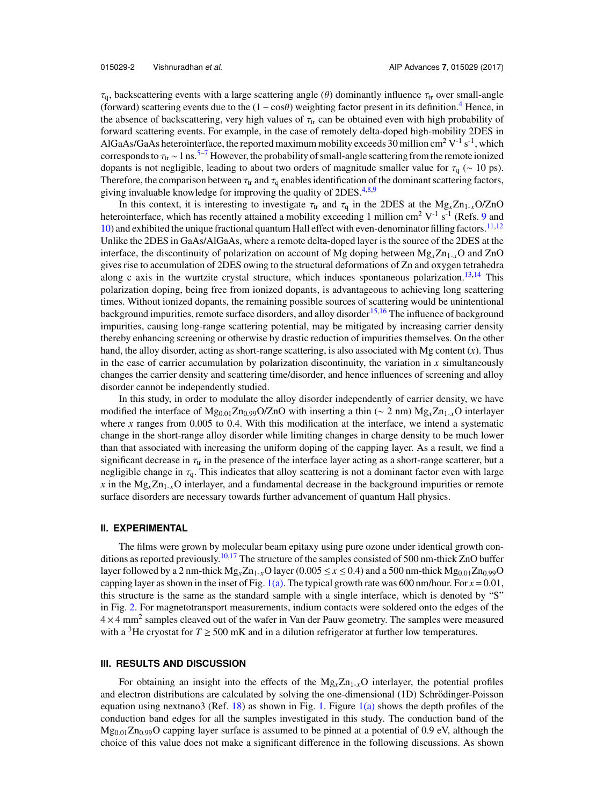$\tau_q$ , backscattering events with a large scattering angle (θ) dominantly influence  $\tau_{tr}$  over small-angle (forward) scattering events due to the  $(1 - \cos\theta)$  weighting factor present in its definition.<sup>[4](#page-7-3)</sup> Hence, in the absence of backscattering, very high values of  $\tau_{tr}$  can be obtained even with high probability of forward scattering events. For example, in the case of remotely delta-doped high-mobility 2DES in AlGaAs/GaAs heterointerface, the reported maximum mobility exceeds 30 million cm<sup>2</sup> V<sup>-1</sup> s<sup>-1</sup>, which corresponds to  $\tau_{tr} \sim 1 \text{ ns.}^{5-7}$  $\tau_{tr} \sim 1 \text{ ns.}^{5-7}$  $\tau_{tr} \sim 1 \text{ ns.}^{5-7}$  However, the probability of small-angle scattering from the remote ionized dopants is not negligible, leading to about two orders of magnitude smaller value for  $\tau_q$  (∼ 10 ps). Therefore, the comparison between  $\tau_{tr}$  and  $\tau_q$  enables identification of the dominant scattering factors, giving invaluable knowledge for improving the quality of 2DES.<sup>[4](#page-7-3)[,8,](#page-7-6)[9](#page-7-7)</sup>

In this context, it is interesting to investigate  $\tau_{tr}$  and  $\tau_q$  in the 2DES at the Mg<sub>*x*</sub>Zn<sub>1-*x*</sub>O/ZnO heterointerface, which has recently attained a mobility exceeding 1 million cm<sup>2</sup> V<sup>-1</sup> s<sup>-1</sup> (Refs. [9](#page-7-7) and [10\)](#page-7-8) and exhibited the unique fractional quantum Hall effect with even-denominator filling factors.<sup>[11,](#page-7-9)[12](#page-7-10)</sup> Unlike the 2DES in GaAs/AlGaAs, where a remote delta-doped layer is the source of the 2DES at the interface, the discontinuity of polarization on account of Mg doping between Mg*x*Zn1-*x*O and ZnO gives rise to accumulation of 2DES owing to the structural deformations of Zn and oxygen tetrahedra along c axis in the wurtzite crystal structure, which induces spontaneous polarization.<sup>[13,](#page-7-11)[14](#page-7-12)</sup> This polarization doping, being free from ionized dopants, is advantageous to achieving long scattering times. Without ionized dopants, the remaining possible sources of scattering would be unintentional background impurities, remote surface disorders, and alloy disorder<sup>[15](#page-7-13)[,16](#page-7-14)</sup> The influence of background impurities, causing long-range scattering potential, may be mitigated by increasing carrier density thereby enhancing screening or otherwise by drastic reduction of impurities themselves. On the other hand, the alloy disorder, acting as short-range scattering, is also associated with Mg content (*x*). Thus in the case of carrier accumulation by polarization discontinuity, the variation in  $x$  simultaneously changes the carrier density and scattering time/disorder, and hence influences of screening and alloy disorder cannot be independently studied.

In this study, in order to modulate the alloy disorder independently of carrier density, we have modified the interface of Mg<sub>0.01</sub>Zn<sub>0.99</sub>O/ZnO with inserting a thin (∼ 2 nm) Mg<sub>*x*</sub>Zn<sub>1-*x*</sub>O interlayer where *x* ranges from 0.005 to 0.4. With this modification at the interface, we intend a systematic change in the short-range alloy disorder while limiting changes in charge density to be much lower than that associated with increasing the uniform doping of the capping layer. As a result, we find a significant decrease in  $\tau_{tr}$  in the presence of the interface layer acting as a short-range scatterer, but a negligible change in  $\tau_{q}$ . This indicates that alloy scattering is not a dominant factor even with large *x* in the  $Mg_x Zn_{1-x}O$  interlayer, and a fundamental decrease in the background impurities or remote surface disorders are necessary towards further advancement of quantum Hall physics.

#### **II. EXPERIMENTAL**

The films were grown by molecular beam epitaxy using pure ozone under identical growth con-ditions as reported previously.<sup>[10,](#page-7-8)[17](#page-7-15)</sup> The structure of the samples consisted of 500 nm-thick ZnO buffer layer followed by a 2 nm-thick  $Mg_xZn_{1-x}O$  layer (0.005  $\leq x \leq 0.4$ ) and a 500 nm-thick  $Mg_{0.01}Zn_{0.99}O$ capping layer as shown in the inset of Fig. [1\(a\).](#page-3-0) The typical growth rate was 600 nm/hour. For  $x = 0.01$ , this structure is the same as the standard sample with a single interface, which is denoted by "S" in Fig. [2.](#page-4-0) For magnetotransport measurements, indium contacts were soldered onto the edges of the  $4 \times 4$  mm<sup>2</sup> samples cleaved out of the wafer in Van der Pauw geometry. The samples were measured with a <sup>3</sup>He cryostat for  $T \ge 500$  mK and in a dilution refrigerator at further low temperatures.

#### **III. RESULTS AND DISCUSSION**

For obtaining an insight into the effects of the  $Mg_x Zn_{1-x}O$  interlayer, the potential profiles and electron distributions are calculated by solving the one-dimensional (1D) Schrödinger-Poisson equation using nextnano3 (Ref. [18\)](#page-7-16) as shown in Fig. [1.](#page-3-0) Figure  $1(a)$  shows the depth profiles of the conduction band edges for all the samples investigated in this study. The conduction band of the  $Mg_{0.01}Zn_{0.99}O$  capping layer surface is assumed to be pinned at a potential of 0.9 eV, although the choice of this value does not make a significant difference in the following discussions. As shown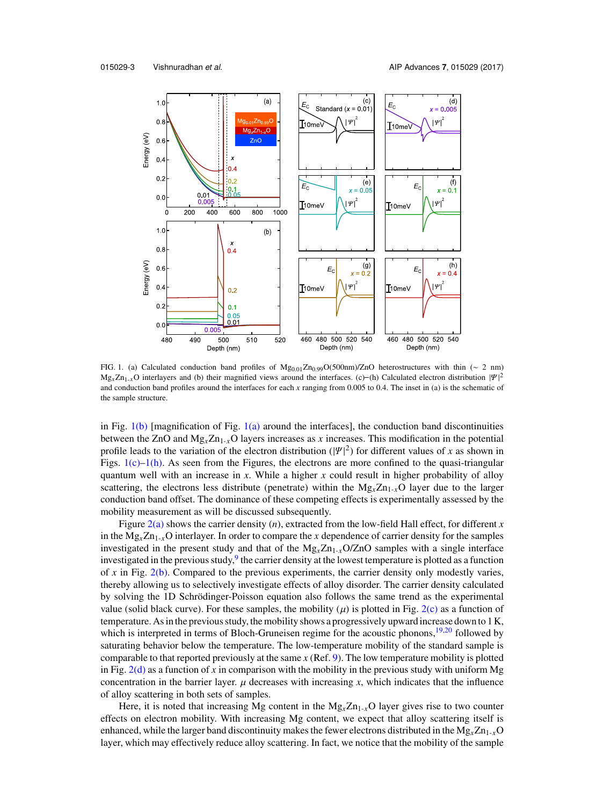

<span id="page-3-0"></span>FIG. 1. (a) Calculated conduction band profiles of Mg<sub>0.01</sub>Zn<sub>0.99</sub>O(500nm)/ZnO heterostructures with thin (∼ 2 nm)  $Mg_xZn_1+xO$  interlayers and (b) their magnified views around the interfaces. (c)–(h) Calculated electron distribution  $|\Psi|$ <br>and conduction band profiles of Mg<sub>0.01</sub>Zn<sub>0.99</sub>O(500nm)/ZnO heterostructures with thin (~ 2 nm<br>  $Mg_x Zn_{1-x}O$  interlayers and (b) their magnified views around the interfaces. (c)–(h) Calculated electron distribution  $|\Psi|^2$ and conduction band profiles around the interfaces for each *x* ranging from 0.005 to 0.4. The inset in (a) is the schematic of the sample structure.

in Fig.  $1(b)$  [magnification of Fig.  $1(a)$  around the interfaces], the conduction band discontinuities between the ZnO and  $Mg_xZn_{1-x}O$  layers increases as *x* increases. This modification in the potential profile leads to the variation of the electron distribution  $(|\Psi|^2)$  for different values of *x* as shown in<br>Figs 1(c)–1(b), As seen from the Figures, the electrons are more confined to the quasi-triangular Figs.  $1(c)-1(h)$ . As seen from the Figures, the electrons are more confined to the quasi-triangular quantum well with an increase in *x*. While a higher *x* could result in higher probability of alloy scattering, the electrons less distribute (penetrate) within the  $Mg_xZn_{1-x}O$  layer due to the larger conduction band offset. The dominance of these competing effects is experimentally assessed by the mobility measurement as will be discussed subsequently.

Figure [2\(a\)](#page-4-0) shows the carrier density (*n*), extracted from the low-field Hall effect, for different *x* in the  $Mg_xZn_{1-x}O$  interlayer. In order to compare the *x* dependence of carrier density for the samples investigated in the present study and that of the  $Mg_xZn_{1-x}O/ZnO$  samples with a single interface investigated in the previous study, <sup>[9](#page-7-7)</sup> the carrier density at the lowest temperature is plotted as a function of *x* in Fig. [2\(b\).](#page-4-0) Compared to the previous experiments, the carrier density only modestly varies, thereby allowing us to selectively investigate effects of alloy disorder. The carrier density calculated by solving the 1D Schrödinger-Poisson equation also follows the same trend as the experimental value (solid black curve). For these samples, the mobility ( $\mu$ ) is plotted in Fig. [2\(c\)](#page-4-0) as a function of temperature. As in the previous study, the mobility shows a progressively upward increase down to 1 K, which is interpreted in terms of Bloch-Gruneisen regime for the acoustic phonons, $19,20$  $19,20$  followed by saturating behavior below the temperature. The low-temperature mobility of the standard sample is comparable to that reported previously at the same *x* (Ref. [9\)](#page-7-7). The low temperature mobility is plotted in Fig.  $2(d)$  as a function of x in comparison with the mobility in the previous study with uniform Mg concentration in the barrier layer.  $\mu$  decreases with increasing  $x$ , which indicates that the influence of alloy scattering in both sets of samples.

Here, it is noted that increasing Mg content in the  $Mg<sub>x</sub>Zn<sub>1-x</sub>O$  layer gives rise to two counter effects on electron mobility. With increasing Mg content, we expect that alloy scattering itself is enhanced, while the larger band discontinuity makes the fewer electrons distributed in the  $Mg_x Zn_{1-x}O$ layer, which may effectively reduce alloy scattering. In fact, we notice that the mobility of the sample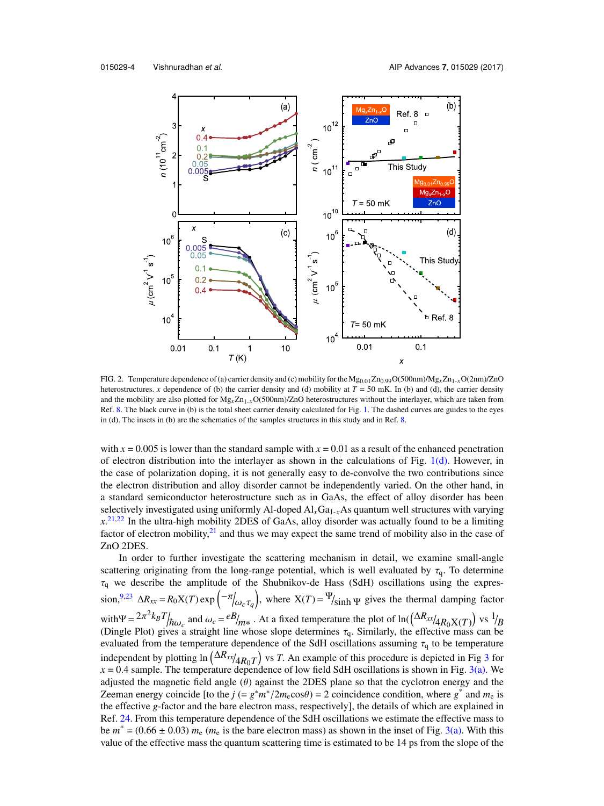

<span id="page-4-0"></span>FIG. 2. Temperature dependence of (a) carrier density and (c) mobility for the Mg0.01Zn0.99O(500nm)/Mg*x*Zn1-*x*O(2nm)/ZnO heterostructures. *x* dependence of (b) the carrier density and (d) mobility at  $T = 50$  mK. In (b) and (d), the carrier density and the mobility are also plotted for  $Mg_x Zn_{1-x}O(500nm)/ZnO$  heterostructures without the interlayer, which are taken from Ref. [8.](#page-7-6) The black curve in (b) is the total sheet carrier density calculated for Fig. [1.](#page-3-0) The dashed curves are guides to the eyes in (d). The insets in (b) are the schematics of the samples structures in this study and in Ref. [8.](#page-7-6)

with  $x = 0.005$  is lower than the standard sample with  $x = 0.01$  as a result of the enhanced penetration of electron distribution into the interlayer as shown in the calculations of Fig.  $1(d)$ . However, in the case of polarization doping, it is not generally easy to de-convolve the two contributions since the electron distribution and alloy disorder cannot be independently varied. On the other hand, in a standard semiconductor heterostructure such as in GaAs, the effect of alloy disorder has been selectively investigated using uniformly Al-doped  $AI_xGa_{1-x}As$  quantum well structures with varying  $x$ <sup>[21,](#page-7-19)[22](#page-7-20)</sup> In the ultra-high mobility 2DES of GaAs, alloy disorder was actually found to be a limiting factor of electron mobility, $2<sup>1</sup>$  and thus we may expect the same trend of mobility also in the case of ZnO 2DES.

In order to further investigate the scattering mechanism in detail, we examine small-angle scattering originating from the long-range potential, which is well evaluated by  $\tau_q$ . To determine  $\tau_q$  we describe the amplitude of the Shubnikov-de Hass (SdH) oscillations using the expres- $\sin^{9,23} \Delta R_{xx} = R_0 X(T) \exp\left(-\pi/\omega_c \tau_q\right)$  $\sin^{9,23} \Delta R_{xx} = R_0 X(T) \exp\left(-\pi/\omega_c \tau_q\right)$  $\sin^{9,23} \Delta R_{xx} = R_0 X(T) \exp\left(-\pi/\omega_c \tau_q\right)$  $\sin^{9,23} \Delta R_{xx} = R_0 X(T) \exp\left(-\pi/\omega_c \tau_q\right)$ , where  $X(T) = \Psi/\sinh \Psi$  gives the thermal damping factor ω*c*τ*<sup>q</sup>* with  $\Psi = 2\pi^2 k_B T_{\pi \omega_c}$  and  $\omega_c = e B_{m*}$ . At a fixed temperature the plot of ln( $(\Delta R_{xx}/4R_0X(T))$  vs  $\frac{1}{B}$ <br>(Dingle Plot) gives a straight line whose slope determines  $\tau_a$ . Similarly, the effective mass can be (Dingle Plot) gives a straight line whose slope determines  $\tau_q$ . Similarly, the effective mass can be evaluated from the temperature dependence of the SdH oscillations assuming  $\tau$  to be temperature evaluated from the temperature dependence of the SdH oscillations assuming  $\tau_q$  to be temperature independent by plotting ln  $(\Delta R_{xx}/4R_0T)$  vs *T*. An example of this procedure is depicted in Fig [3](#page-5-0) for  $x = 0.4$  sample. The temperature dependence of low field SdH oscillations is shown in Fig.  $3(a)$ . We adjusted the magnetic field angle  $(\theta)$  against the 2DES plane so that the cyclotron energy and the Zeeman energy coincide [to the *j* (=  $g^*m^*/2m_e\cos\theta$ ) = 2 coincidence condition, where  $g^*$  and  $m_e$  is<br>the effective *a*-factor and the bare electron mass, respectively! the details of which are explained in the effective *g*-factor and the bare electron mass, respectively], the details of which are explained in Ref. [24.](#page-7-22) From this temperature dependence of the SdH oscillations we estimate the effective mass to be  $m^* = (0.66 \pm 0.03)$   $m_e$  ( $m_e$  is the bare electron mass) as shown in the inset of Fig. [3\(a\).](#page-5-0) With this value of the effective mass the quantum scattering time is estimated to be 14 ps from the slope of the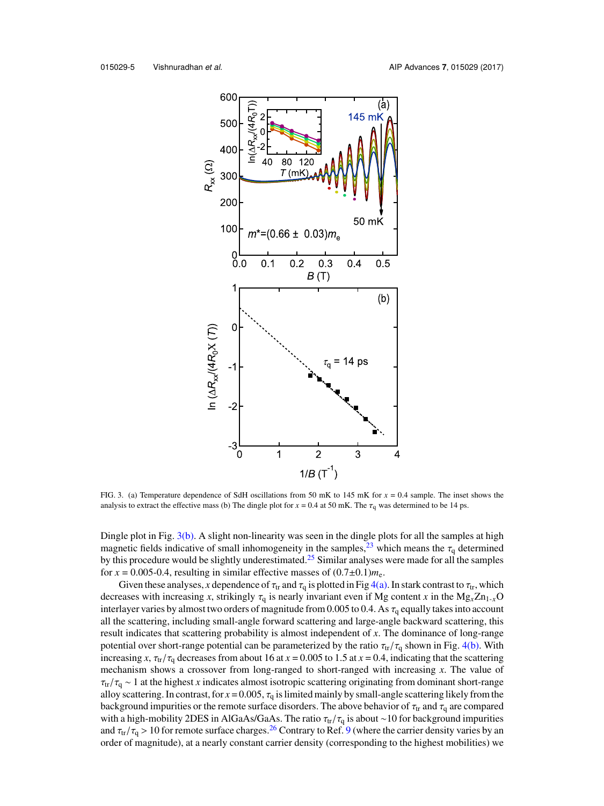

<span id="page-5-0"></span>FIG. 3. (a) Temperature dependence of SdH oscillations from 50 mK to 145 mK for *x* = 0.4 sample. The inset shows the analysis to extract the effective mass (b) The dingle plot for  $x = 0.4$  at 50 mK. The  $\tau_q$  was determined to be 14 ps.

Dingle plot in Fig. [3\(b\).](#page-5-0) A slight non-linearity was seen in the dingle plots for all the samples at high magnetic fields indicative of small inhomogeneity in the samples,  $^{23}$  $^{23}$  $^{23}$  which means the  $\tau_q$  determined by this procedure would be slightly underestimated.<sup>[25](#page-7-23)</sup> Similar analyses were made for all the samples for  $x = 0.005$ -0.4, resulting in similar effective masses of  $(0.7 \pm 0.1)m_e$ .

Given these analyses, *x* dependence of  $\tau_{tr}$  and  $\tau_q$  is plotted in Fig [4\(a\).](#page-6-0) In stark contrast to  $\tau_{tr}$ , which decreases with increasing *x*, strikingly  $\tau_q$  is nearly invariant even if Mg content *x* in the Mg<sub>*x*</sub>Zn<sub>1-*x*</sub>O interlayer varies by almost two orders of magnitude from 0.005 to 0.4. As  $\tau_q$  equally takes into account all the scattering, including small-angle forward scattering and large-angle backward scattering, this result indicates that scattering probability is almost independent of *x*. The dominance of long-range potential over short-range potential can be parameterized by the ratio  $\tau_{tr}/\tau_q$  shown in Fig. [4\(b\).](#page-6-0) With increasing *x*,  $\tau_{tr}/\tau_q$  decreases from about 16 at  $x = 0.005$  to 1.5 at  $x = 0.4$ , indicating that the scattering mechanism shows a crossover from long-ranged to short-ranged with increasing *x*. The value of  $\tau_{tr}/\tau_q \sim 1$  at the highest *x* indicates almost isotropic scattering originating from dominant short-range alloy scattering. In contrast, for  $x = 0.005$ ,  $\tau_q$  is limited mainly by small-angle scattering likely from the background impurities or the remote surface disorders. The above behavior of  $\tau_{tr}$  and  $\tau_{q}$  are compared with a high-mobility 2DES in AlGaAs/GaAs. The ratio  $\tau_{tr}/\tau_q$  is about ∼10 for background impurities and  $\tau_{tr}/\tau_q > 10$  for remote surface charges.<sup>[26](#page-7-24)</sup> Contrary to Ref. [9](#page-7-7) (where the carrier density varies by an order of magnitude), at a nearly constant carrier density (corresponding to the highest mobilities) we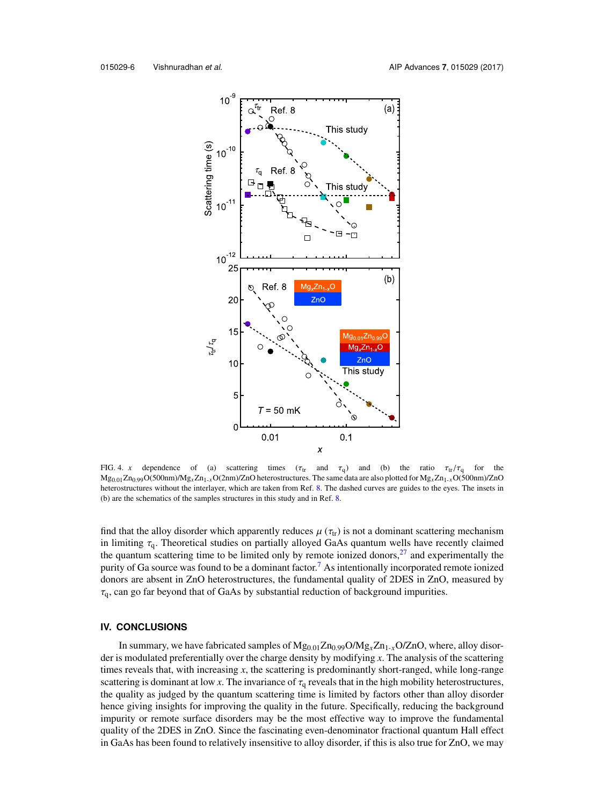

<span id="page-6-0"></span>FIG. 4. *x* dependence of (a) scattering times ( $\tau_{tr}$  and  $\tau_q$ ) and (b) the ratio  $\tau_{tr}/\tau_q$  for the Mg0.01Zn0.99O(500nm)/Mg*x*Zn1-*x*O(2nm)/ZnO heterostructures. The same data are also plotted for Mg*x*Zn1-*x*O(500nm)/ZnO heterostructures without the interlayer, which are taken from Ref. [8.](#page-7-6) The dashed curves are guides to the eyes. The insets in (b) are the schematics of the samples structures in this study and in Ref. [8.](#page-7-6)

find that the alloy disorder which apparently reduces  $\mu(\tau_{tr})$  is not a dominant scattering mechanism in limiting  $\tau_a$ . Theoretical studies on partially alloyed GaAs quantum wells have recently claimed the quantum scattering time to be limited only by remote ionized donors, $27$  and experimentally the purity of Ga source was found to be a dominant factor.<sup>[7](#page-7-5)</sup> As intentionally incorporated remote ionized donors are absent in ZnO heterostructures, the fundamental quality of 2DES in ZnO, measured by  $\tau_q$ , can go far beyond that of GaAs by substantial reduction of background impurities.

## **IV. CONCLUSIONS**

In summary, we have fabricated samples of  $Mg_{0.01}Zn_{0.99}O/Mg_xZn_{1-x}O/ZnO$ , where, alloy disorder is modulated preferentially over the charge density by modifying *x*. The analysis of the scattering times reveals that, with increasing *x*, the scattering is predominantly short-ranged, while long-range scattering is dominant at low *x*. The invariance of  $\tau_q$  reveals that in the high mobility heterostructures, the quality as judged by the quantum scattering time is limited by factors other than alloy disorder hence giving insights for improving the quality in the future. Specifically, reducing the background impurity or remote surface disorders may be the most effective way to improve the fundamental quality of the 2DES in ZnO. Since the fascinating even-denominator fractional quantum Hall effect in GaAs has been found to relatively insensitive to alloy disorder, if this is also true for ZnO, we may